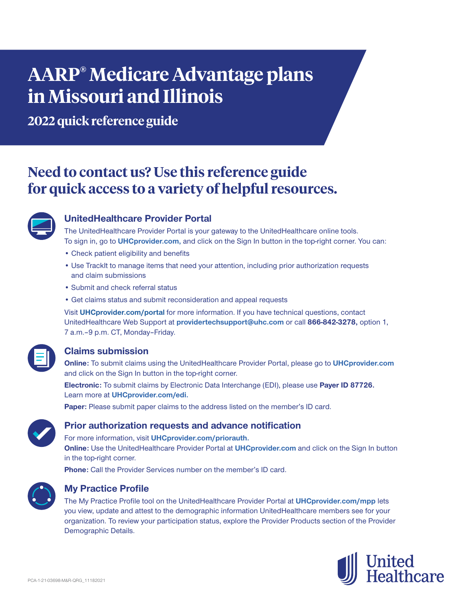# **AARP® Medicare Advantage plans in Missouri and Illinois**

**2022 quick reference guide**

# **Need to contact us? Use this reference guide for quick access to a variety of helpful resources.**



# **UnitedHealthcare Provider Portal**

The UnitedHealthcare Provider Portal is your gateway to the UnitedHealthcare online tools. To sign in, go to **UHCprovider.com,** and click on the Sign In button in the top-right corner. You can:

- Check patient eligibility and benefits
- Use TrackIt to manage items that need your attention, including prior authorization requests and claim submissions
- Submit and check referral status
- Get claims status and submit reconsideration and appeal requests

Visit **UHCprovider.com/portal** for more information. If you have technical questions, contact UnitedHealthcare Web Support at **providertechsupport@uhc.com** or call **866-842-3278,** option 1, 7 a.m. - 9 p.m. CT, Monday - Friday.

# **Claims submission**

**Online:** To submit claims using the UnitedHealthcare Provider Portal, please go to **UHCprovider.com** and click on the Sign In button in the top-right corner.

**Electronic:** To submit claims by Electronic Data Interchange (EDI), please use **Payer ID 87726.** Learn more at **UHCprovider.com/edi.**

**Paper:** Please submit paper claims to the address listed on the member's ID card.



#### **Prior authorization requests and advance notification**

For more information, visit **UHCprovider.com/priorauth. Online:** Use the UnitedHealthcare Provider Portal at **UHCprovider.com** and click on the Sign In button

in the top-right corner.

**Phone:** Call the Provider Services number on the member's ID card.



#### **My Practice Profile**

The My Practice Profile tool on the UnitedHealthcare Provider Portal at **UHCprovider.com/mpp** lets you view, update and attest to the demographic information UnitedHealthcare members see for your organization. To review your participation status, explore the Provider Products section of the Provider Demographic Details.

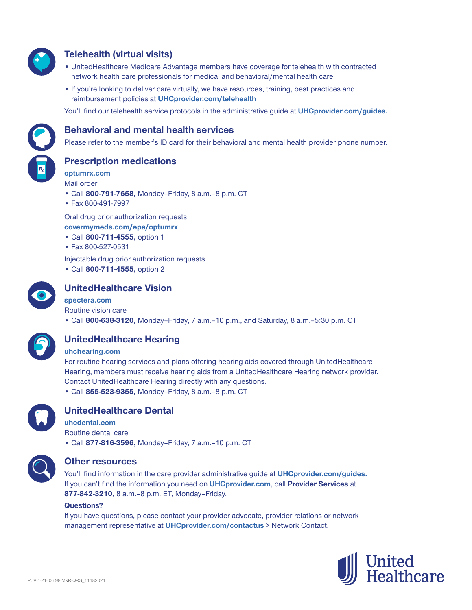

# **Telehealth (virtual visits)**

- UnitedHealthcare Medicare Advantage members have coverage for telehealth with contracted network health care professionals for medical and behavioral/mental health care
- If you're looking to deliver care virtually, we have resources, training, best practices and reimbursement policies at **UHCprovider.com/telehealth**

You'll find our telehealth service protocols in the administrative guide at **UHCprovider.com/guides.**



#### **Behavioral and mental health services**

Please refer to the member's ID card for their behavioral and mental health provider phone number.

**Prescription medications**

**optumrx.com** Mail order

- Call **800-791-7658,** Monday–Friday, 8 a.m.‒8 p.m. CT
- Fax 800-491-7997

Oral drug prior authorization requests **covermymeds.com/epa/optumrx**

- Call **800-711-4555,** option 1
- Fax 800-527-0531

Injectable drug prior authorization requests

• Call **800-711-4555,** option 2



## **UnitedHealthcare Vision**

#### **spectera.com**

Routine vision care

• Call **800-638-3120,** Monday–Friday, 7 a.m.–10 p.m., and Saturday, 8 a.m.–5:30 p.m. CT



# **UnitedHealthcare Hearing**

#### **uhchearing.com**

For routine hearing services and plans offering hearing aids covered through UnitedHealthcare Hearing, members must receive hearing aids from a UnitedHealthcare Hearing network provider. Contact UnitedHealthcare Hearing directly with any questions. • Call **855-523-9355,** Monday–Friday, 8 a.m.–8 p.m. CT



#### **UnitedHealthcare Dental**

**uhcdental.com** Routine dental care • Call **877-816-3596,** Monday–Friday, 7 a.m.–10 p.m. CT



#### **Other resources**

You'll find information in the care provider administrative guide at **UHCprovider.com/guides.** If you can't find the information you need on **UHCprovider.com**, call **Provider Services** at **877-842-3210,** 8 a.m.–8 p.m. ET, Monday–Friday.

#### **Questions?**

If you have questions, please contact your provider advocate, provider relations or network management representative at **UHCprovider.com/contactus** > Network Contact.

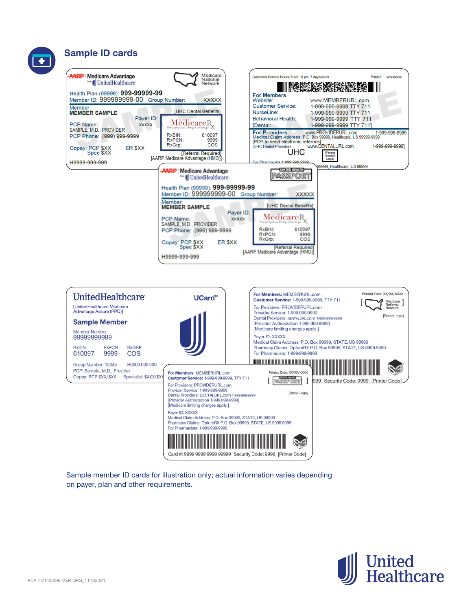## **Sample ID cards**





Sample member ID cards for illustration only; actual information varies depending on payer, plan and other requirements.